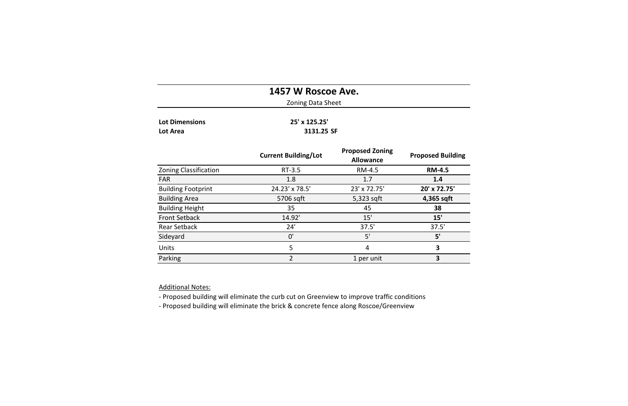|                                          | 1457 W Roscoe Ave.<br><b>Zoning Data Sheet</b> |                                            |                          |
|------------------------------------------|------------------------------------------------|--------------------------------------------|--------------------------|
| <b>Lot Dimensions</b><br><b>Lot Area</b> | 25' x 125.25'<br>3131.25 SF                    |                                            |                          |
|                                          | <b>Current Building/Lot</b>                    | <b>Proposed Zoning</b><br><b>Allowance</b> | <b>Proposed Building</b> |
| <b>Zoning Classification</b>             | $RT-3.5$                                       | RM-4.5                                     | <b>RM-4.5</b>            |
| <b>FAR</b>                               | 1.8                                            | 1.7                                        | 1.4                      |
| <b>Building Footprint</b>                | 24.23' x 78.5'                                 | 23' x 72.75'                               | 20' x 72.75'             |
| <b>Building Area</b>                     | 5706 sqft                                      | 5,323 sqft                                 | 4,365 sqft               |
| <b>Building Height</b>                   | 35                                             | 45                                         | 38                       |
| <b>Front Setback</b>                     | 14.92'                                         | 15'                                        | 15'                      |
| <b>Rear Setback</b>                      | 24'                                            | 37.5'                                      | 37.5'                    |
| Sideyard                                 | 0'                                             | 5'                                         | 5'                       |
| Units                                    | 5                                              | 4                                          | $\overline{\mathbf{3}}$  |
| Parking                                  | $\overline{2}$                                 | 1 per unit                                 | $\overline{\mathbf{3}}$  |

**Additional Notes:** 

- Proposed building will eliminate the curb cut on Greenview to improve traffic conditions

- Proposed building will eliminate the brick & concrete fence along Roscoe/Greenview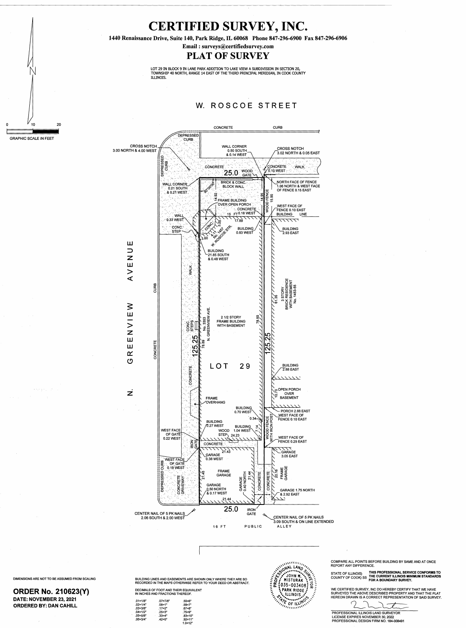

**CURB** 





 $\Omega$ 

 $\geq$ Ш



ર્

DIMENSIONS ARE NOT TO BE ASSUMED FROM SCALING

 $\label{eq:3} \mathcal{F}^{(1)}\left(\mathcal{F}^{(2)}\right) = \mathcal{F}^{(1)}\left(\mathcal{F}^{(1)}\right) = \mathcal{F}^{(1)}\left(\mathcal{F}^{(1)}\right) = \mathcal{F}^{(1)}\left(\mathcal{F}^{(1)}\right)$ 

 $\sim 10^{11}$  MeV

 $\sim 200$ 

 $\mathcal{O}(\mathcal{A}^{\mathcal{A}})$  , where  $\mathcal{O}(\mathcal{A}^{\mathcal{A}})$ 

## **ORDER No. 210623(Y)** DATE: NOVEMBER 23, 2021 **ORDERED BY: DAN CAHILL**

BUILDING LINES AND EASEMENTS ARE SHOWN ONLY WHERE THEY ARE SO RECORDED IN THE MAPS OTHERWISE REFER TO YOUR DEED OR ABSTRACT.

## DECIMALS OF FOOT AND THEIR EQUIVALENT IN INCHES AND FRACTIONS THEREOF.

| $.01 = 1/8"$ | $.07 = 7/8"$ | .50=6'     |
|--------------|--------------|------------|
| $.02 = 1/4"$ | $.08 = 1"$   | .58=7'     |
| .03=3/8"     | .17=2"       | .67=8'     |
| $.04 = 1/2"$ | $.25 = 3"$   | .75=9'     |
| $.05 = 5/8"$ | .33=4"       | .83=1      |
| $.06 = 3/4"$ | $.42 = 5"$   | .92=1      |
|              |              | $1.0 = 12$ |



COMPARE ALL POINTS BEFORE BUILDING BY SAME AND AT ONCE **REPORT ANY DIFFERENCE.** 

THIS PROFESSIONAL SERVICE CONFORMS TO STATE OF ILLINOIS) COUNTY OF COOK) SS THE CURRENT ILLINOIS MINIMUM STANDARDS<br>FOR A BOUNDARY SURVEY.

WE CERTIFIED SURVEY, INC DO HEREBY CERTIFY THAT WE HAVE SURVEYED THE ABOVE DESCRIBED PROPERTY AND THAT THE PLAT HEREON DRAWN IS A CORRECT REPRESENTATION OF SAID SURVEY.

PROFESSIONAL ILLINOIS LAND SURVEYOR LICENSE EXPIRES NOVEMBER 30, 2022 PROFESSIONAL DESIGN FIRM NO. 184-008491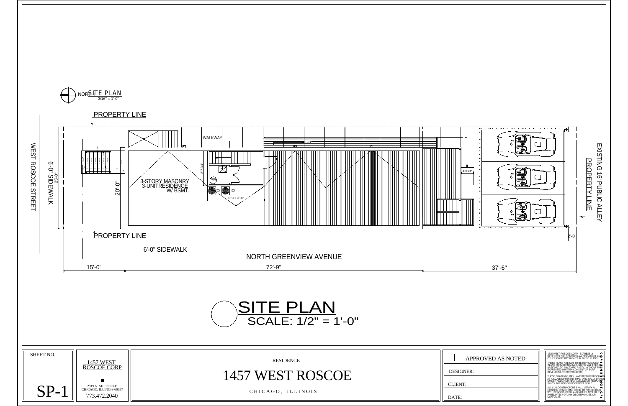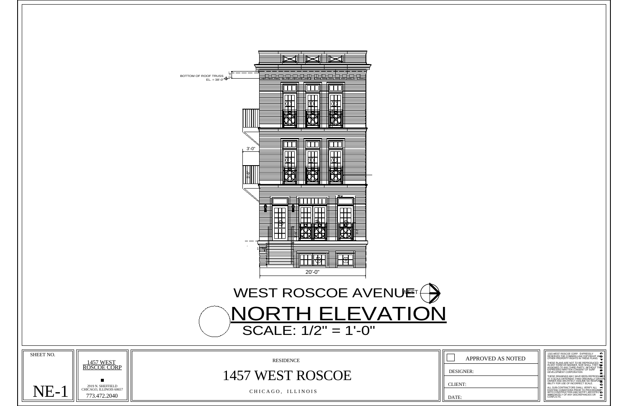THESE DRAWINGS MAY HAVE BEEN REPRODU<del>CE</del>D<br>AT A SCALE DIFFERENT THAN ORIGINALLY DRAWN.<br>OWNER AND ARCHITECT ASSUME NO RESPON<del>S</del><br>IBILITY FOR USE OF INCORRECT SCALE.

| BOTTOM OF ROOF TRUSS<br>$EL = 38' - 0'' + \frac{1}{2}$                                                                                                                                                                                                         |
|----------------------------------------------------------------------------------------------------------------------------------------------------------------------------------------------------------------------------------------------------------------|
| Œ                                                                                                                                                                                                                                                              |
| $3' - 0''$<br>(#∑<br>Œ<br>$\frac{3.6}{\cdot}$                                                                                                                                                                                                                  |
| $\overline{\phantom{a}}$<br><b>KOU</b><br>$\blacksquare$ o $\blacksquare$<br>TO 7<br>XX                                                                                                                                                                        |
| $20' - 0''$                                                                                                                                                                                                                                                    |
| WEST ROSCOE AVENUET $\bigoplus$                                                                                                                                                                                                                                |
| NORTH ELEVATION<br>SCALE: $1/2" = 1'-0"$                                                                                                                                                                                                                       |
| SHEET NO.<br>1315 WEST ROSCOE CORP. EXPRESSLY<br>RESERVES THE COMMON LAW COPYRIGHT AND<br>OTHER PROPERTY RIGHTS IN THESE PLANS.<br>APPROVED AS NOTED<br><b>RESIDENCE</b><br>1457 WEST<br>ROSCOE CORP<br><b>DESIGNER:</b><br>1457 WEST ROSCOE<br><b>CLIENT:</b> |
| 2919 N. SHEFFIELD<br>CHICAGO, ILLINOIS 60657<br>NE-1<br>CHICAGO, ILLINOIS<br>WITH CONSTRUCTION AND NOTIFY ARCHITECTORY IMMEDIATELY OF ANY DISCREPANCIES OR<br>773.472.2040<br>DATE:                                                                            |

| APPROVED AS NOTED |  |  |
|-------------------|--|--|
|                   |  |  |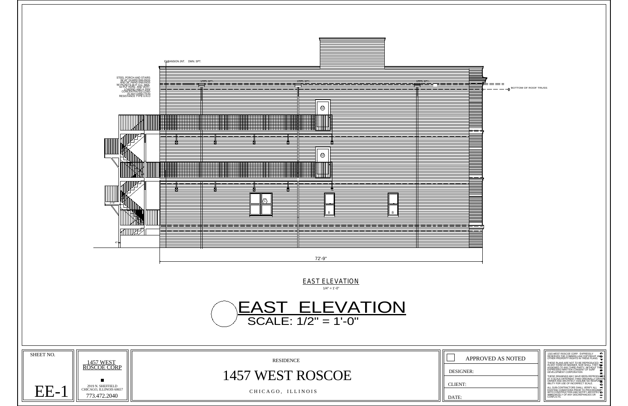

| $:= = = $                             |                                                                                                                                                                                                                                       |
|---------------------------------------|---------------------------------------------------------------------------------------------------------------------------------------------------------------------------------------------------------------------------------------|
| $-$ - $\Diamond$ BOTTOM OF ROOF TRUSS |                                                                                                                                                                                                                                       |
|                                       |                                                                                                                                                                                                                                       |
|                                       |                                                                                                                                                                                                                                       |
|                                       |                                                                                                                                                                                                                                       |
|                                       |                                                                                                                                                                                                                                       |
|                                       |                                                                                                                                                                                                                                       |
|                                       |                                                                                                                                                                                                                                       |
|                                       |                                                                                                                                                                                                                                       |
|                                       |                                                                                                                                                                                                                                       |
|                                       |                                                                                                                                                                                                                                       |
|                                       |                                                                                                                                                                                                                                       |
|                                       |                                                                                                                                                                                                                                       |
|                                       |                                                                                                                                                                                                                                       |
|                                       |                                                                                                                                                                                                                                       |
|                                       |                                                                                                                                                                                                                                       |
|                                       |                                                                                                                                                                                                                                       |
|                                       |                                                                                                                                                                                                                                       |
|                                       |                                                                                                                                                                                                                                       |
|                                       |                                                                                                                                                                                                                                       |
|                                       |                                                                                                                                                                                                                                       |
|                                       |                                                                                                                                                                                                                                       |
|                                       |                                                                                                                                                                                                                                       |
|                                       |                                                                                                                                                                                                                                       |
|                                       |                                                                                                                                                                                                                                       |
|                                       |                                                                                                                                                                                                                                       |
|                                       |                                                                                                                                                                                                                                       |
|                                       |                                                                                                                                                                                                                                       |
|                                       |                                                                                                                                                                                                                                       |
|                                       |                                                                                                                                                                                                                                       |
|                                       |                                                                                                                                                                                                                                       |
|                                       |                                                                                                                                                                                                                                       |
|                                       |                                                                                                                                                                                                                                       |
|                                       |                                                                                                                                                                                                                                       |
|                                       |                                                                                                                                                                                                                                       |
|                                       |                                                                                                                                                                                                                                       |
|                                       |                                                                                                                                                                                                                                       |
|                                       |                                                                                                                                                                                                                                       |
|                                       |                                                                                                                                                                                                                                       |
|                                       |                                                                                                                                                                                                                                       |
|                                       |                                                                                                                                                                                                                                       |
|                                       |                                                                                                                                                                                                                                       |
|                                       |                                                                                                                                                                                                                                       |
|                                       |                                                                                                                                                                                                                                       |
|                                       |                                                                                                                                                                                                                                       |
|                                       |                                                                                                                                                                                                                                       |
|                                       |                                                                                                                                                                                                                                       |
|                                       |                                                                                                                                                                                                                                       |
|                                       |                                                                                                                                                                                                                                       |
|                                       |                                                                                                                                                                                                                                       |
|                                       |                                                                                                                                                                                                                                       |
|                                       |                                                                                                                                                                                                                                       |
|                                       |                                                                                                                                                                                                                                       |
|                                       |                                                                                                                                                                                                                                       |
|                                       |                                                                                                                                                                                                                                       |
|                                       |                                                                                                                                                                                                                                       |
|                                       |                                                                                                                                                                                                                                       |
|                                       |                                                                                                                                                                                                                                       |
|                                       |                                                                                                                                                                                                                                       |
|                                       |                                                                                                                                                                                                                                       |
|                                       |                                                                                                                                                                                                                                       |
|                                       |                                                                                                                                                                                                                                       |
|                                       |                                                                                                                                                                                                                                       |
|                                       |                                                                                                                                                                                                                                       |
|                                       |                                                                                                                                                                                                                                       |
|                                       |                                                                                                                                                                                                                                       |
|                                       |                                                                                                                                                                                                                                       |
|                                       |                                                                                                                                                                                                                                       |
|                                       |                                                                                                                                                                                                                                       |
|                                       |                                                                                                                                                                                                                                       |
|                                       |                                                                                                                                                                                                                                       |
|                                       |                                                                                                                                                                                                                                       |
|                                       |                                                                                                                                                                                                                                       |
|                                       |                                                                                                                                                                                                                                       |
|                                       |                                                                                                                                                                                                                                       |
|                                       |                                                                                                                                                                                                                                       |
|                                       | 1315 WEST ROSCOE CORP. EXPRESSLY<br>RESERVES THE COMMON LAW COPYRIGHT AND<br>OTHER PROPERTY RIGHTS IN THESE PLANS.                                                                                                                    |
| APPROVED AS NOTED                     | $\mathbf \cdot$                                                                                                                                                                                                                       |
|                                       |                                                                                                                                                                                                                                       |
|                                       |                                                                                                                                                                                                                                       |
| GNER:                                 | THESE PLANS ARE NOT TO BE REPRODUCED $\prec$ IN ANY FORM OR MANNER, NOR SHALL THEY BE EXPRESSED WRITTHE CONSENT OF SURFACE AND DUT THE A CONSENT OF SURFACE OF A CONSENT OF SURFACE OF A CHAPTER CONSENT OF SURFACE OF A CHAPTER<br>Ŧ |
|                                       |                                                                                                                                                                                                                                       |
|                                       |                                                                                                                                                                                                                                       |
|                                       | THESE DRAWINGS MAY HAVE BEEN REPRODUCED<br>AT A SCALE DIFFERENT THAN ORIGINALLY DRAWN<br>OWNER AND ARCHITECT ASSUME NO RESPONDE<br>IBILITY FOR USE OF INCORRECT SCALE.<br>۰                                                           |
| VТ:                                   |                                                                                                                                                                                                                                       |
|                                       | ALL SUB-CONTRACTORS SHALL VERIFY ALL THE EXISTING CONDITIONS PRIOR TO PROCEEDING<br>EXISTING CONDITION AND NOTIFY ARCHITECTOR<br>IMMEDIATELY OF ANY DISCREPANCIES OR                                                                  |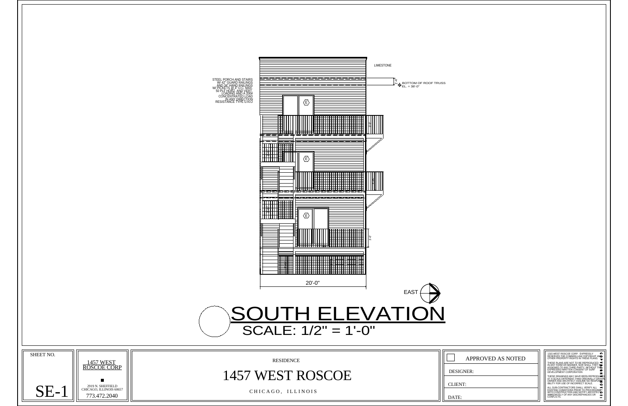THESE PLANS ARE NOT TO BE REPRODUCED<br>IN ANY FORM OR MANNER, NOR SHALL THEY BE<br>ASSIGNED TO ANY THIRD PARTY, WITHOUT THE<br>EXPRESSED WRITTEN CONSENT OF SURF DEVELOPMENT CORPORATION

THESE DRAWINGS MAY HAVE BEEN REPRODU<del>CE</del>D<br>AT A SCALE DIFFERENT THAN ORIGINALLY DRAWN.<br>OWNER AND ARCHITECT ASSUME NO RESPON<del>S</del><br>IBILITY FOR USE OF INCORRECT SCALE.

ALL SUB-CONTRACTORS SHALL VERIFY ALL<br>EXISTING CONDITIONS PRIOR TO PROCEEDING<br>WITH CONSTRUCTION AND NOTIFY ARCHITECT<br>IMMEDIATELY OF ANY DISCREPANCIES OR<br>CONFLICTS.



OTHER PROPERTY RIGHTS IN THESE PLANS. 1315 WEST ROSCOE CORP. EXPRESSLY

| APPROVED AS NOTED |  |  |
|-------------------|--|--|
|                   |  |  |